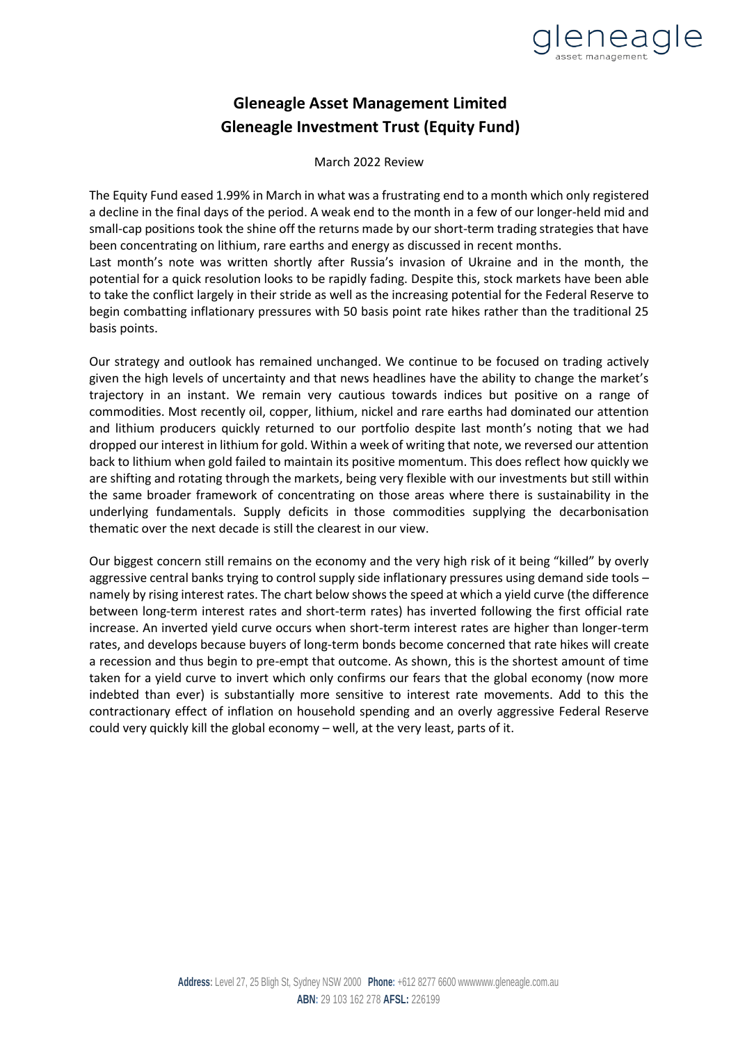

## **Gleneagle Asset Management Limited Gleneagle Investment Trust (Equity Fund)**

March 2022 Review

The Equity Fund eased 1.99% in March in what was a frustrating end to a month which only registered a decline in the final days of the period. A weak end to the month in a few of our longer-held mid and small-cap positions took the shine off the returns made by our short-term trading strategies that have been concentrating on lithium, rare earths and energy as discussed in recent months. Last month's note was written shortly after Russia's invasion of Ukraine and in the month, the

potential for a quick resolution looks to be rapidly fading. Despite this, stock markets have been able to take the conflict largely in their stride as well as the increasing potential for the Federal Reserve to begin combatting inflationary pressures with 50 basis point rate hikes rather than the traditional 25 basis points.

Our strategy and outlook has remained unchanged. We continue to be focused on trading actively given the high levels of uncertainty and that news headlines have the ability to change the market's trajectory in an instant. We remain very cautious towards indices but positive on a range of commodities. Most recently oil, copper, lithium, nickel and rare earths had dominated our attention and lithium producers quickly returned to our portfolio despite last month's noting that we had dropped our interest in lithium for gold. Within a week of writing that note, we reversed our attention back to lithium when gold failed to maintain its positive momentum. This does reflect how quickly we are shifting and rotating through the markets, being very flexible with our investments but still within the same broader framework of concentrating on those areas where there is sustainability in the underlying fundamentals. Supply deficits in those commodities supplying the decarbonisation thematic over the next decade is still the clearest in our view.

Our biggest concern still remains on the economy and the very high risk of it being "killed" by overly aggressive central banks trying to control supply side inflationary pressures using demand side tools – namely by rising interest rates. The chart below shows the speed at which a yield curve (the difference between long-term interest rates and short-term rates) has inverted following the first official rate increase. An inverted yield curve occurs when short-term interest rates are higher than longer-term rates, and develops because buyers of long-term bonds become concerned that rate hikes will create a recession and thus begin to pre-empt that outcome. As shown, this is the shortest amount of time taken for a yield curve to invert which only confirms our fears that the global economy (now more indebted than ever) is substantially more sensitive to interest rate movements. Add to this the contractionary effect of inflation on household spending and an overly aggressive Federal Reserve could very quickly kill the global economy – well, at the very least, parts of it.